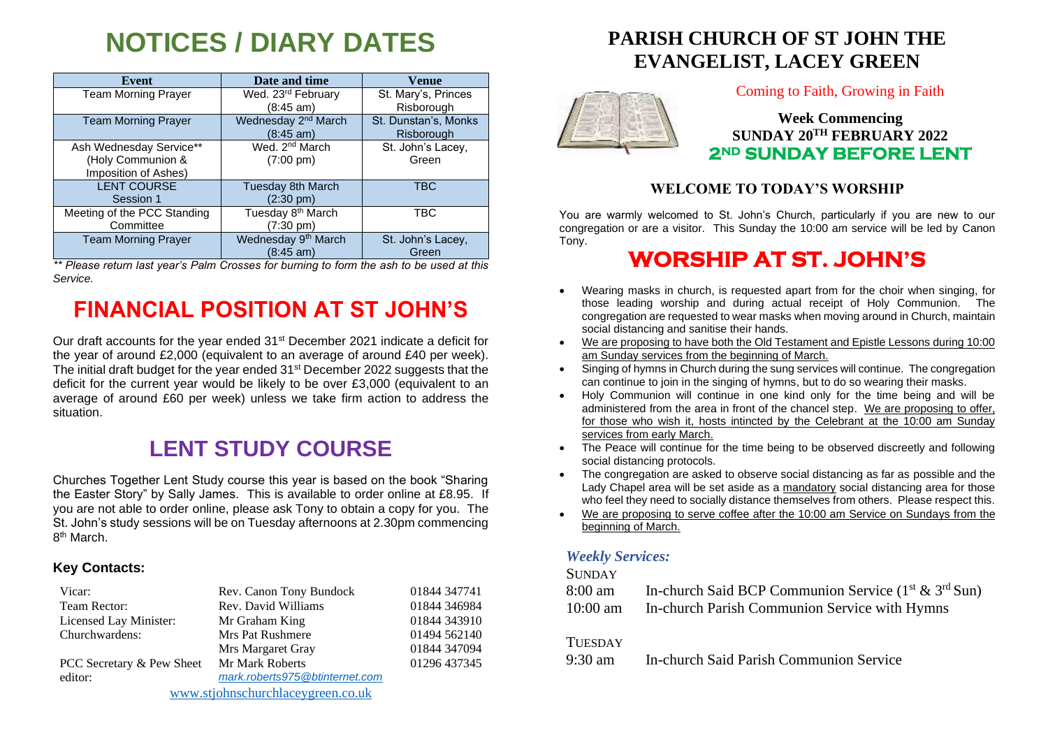# **NOTICES / DIARY DATES**

| Event                       | Date and time                   | Venue                |
|-----------------------------|---------------------------------|----------------------|
| <b>Team Morning Prayer</b>  | Wed. 23 <sup>rd</sup> February  | St. Mary's, Princes  |
|                             | $(8:45 \text{ am})$             | Risborough           |
| <b>Team Morning Prayer</b>  | Wednesday 2 <sup>nd</sup> March | St. Dunstan's, Monks |
|                             | $(8:45 \text{ am})$             | Risborough           |
| Ash Wednesday Service**     | Wed. 2 <sup>nd</sup> March      | St. John's Lacey,    |
| (Holy Communion &           | $(7:00 \text{ pm})$             | Green                |
| Imposition of Ashes)        |                                 |                      |
| <b>LENT COURSE</b>          | <b>Tuesday 8th March</b>        | <b>TBC</b>           |
| Session 1                   | $(2:30 \text{ pm})$             |                      |
| Meeting of the PCC Standing | Tuesday 8 <sup>th</sup> March   | <b>TBC</b>           |
| Committee                   | (7:30 pm)                       |                      |
| <b>Team Morning Prayer</b>  | Wednesday 9 <sup>th</sup> March | St. John's Lacey,    |
|                             | $(8:45 \text{ am})$             | Green                |

*\*\* Please return last year's Palm Crosses for burning to form the ash to be used at this Service.*

## **FINANCIAL POSITION AT ST JOHN'S**

Our draft accounts for the year ended 31<sup>st</sup> December 2021 indicate a deficit for the year of around £2,000 (equivalent to an average of around £40 per week). The initial draft budget for the year ended 31st December 2022 suggests that the deficit for the current year would be likely to be over £3,000 (equivalent to an average of around £60 per week) unless we take firm action to address the situation.

## **LENT STUDY COURSE**

Churches Together Lent Study course this year is based on the book "Sharing the Easter Story" by Sally James. This is available to order online at £8.95. If you are not able to order online, please ask Tony to obtain a copy for you. The St. John's study sessions will be on Tuesday afternoons at 2.30pm commencing 8<sup>th</sup> March.

#### **Key Contacts:**

| Vicar:                            | Rev. Canon Tony Bundock        | 01844 347741 |
|-----------------------------------|--------------------------------|--------------|
| Team Rector:                      | Rev. David Williams            | 01844 346984 |
| Licensed Lay Minister:            | Mr Graham King                 | 01844 343910 |
| Churchwardens:                    | <b>Mrs Pat Rushmere</b>        | 01494 562140 |
|                                   | Mrs Margaret Gray              | 01844 347094 |
| PCC Secretary & Pew Sheet         | Mr Mark Roberts                | 01296 437345 |
| editor:                           | mark.roberts975@btinternet.com |              |
| www.stjohnschurchlaceygreen.co.uk |                                |              |

### **PARISH CHURCH OF ST JOHN THE EVANGELIST, LACEY GREEN**



Coming to Faith, Growing in Faith

### **Week Commencing SUNDAY 20TH FEBRUARY 2022 2ND SUNDAY BEFORE LENT**

#### **WELCOME TO TODAY'S WORSHIP**

You are warmly welcomed to St. John's Church, particularly if you are new to our congregation or are a visitor. This Sunday the 10:00 am service will be led by Canon Tony.

## **WORSHIP AT ST. JOHN'S**

- Wearing masks in church, is requested apart from for the choir when singing, for those leading worship and during actual receipt of Holy Communion. The congregation are requested to wear masks when moving around in Church, maintain social distancing and sanitise their hands.
- We are proposing to have both the Old Testament and Epistle Lessons during 10:00 am Sunday services from the beginning of March.
- Singing of hymns in Church during the sung services will continue. The congregation can continue to join in the singing of hymns, but to do so wearing their masks.
- Holy Communion will continue in one kind only for the time being and will be administered from the area in front of the chancel step. We are proposing to offer, for those who wish it, hosts intincted by the Celebrant at the 10:00 am Sunday services from early March.
- The Peace will continue for the time being to be observed discreetly and following social distancing protocols.
- The congregation are asked to observe social distancing as far as possible and the Lady Chapel area will be set aside as a mandatory social distancing area for those who feel they need to socially distance themselves from others. Please respect this.
- We are proposing to serve coffee after the 10:00 am Service on Sundays from the beginning of March.

#### *Weekly Services:*

#### **SUNDAY**

| 8:00 am    | In-church Said BCP Communion Service $(1^{st} \& 3^{rd} Sun)$ |
|------------|---------------------------------------------------------------|
| $10:00$ am | In-church Parish Communion Service with Hymns                 |

#### **TUESDAY**

9:30 am In-church Said Parish Communion Service